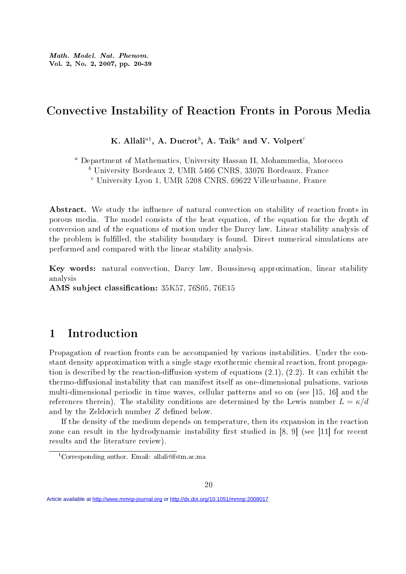Math. Model. Nat. Phenom. Vol. 2, No. 2, 2007, pp. 20-39

# Convective Instability of Reaction Fronts in Porous Media

K. Allali $^{a1}$ , A. Ducrot $^{b}$ , A. Taik $^{a}$  and V. Volpert $^{c}$ 

<sup>a</sup> Department of Mathematics, University Hassan II, Mohammedia, Morocco

 $<sup>b</sup>$  University Bordeaux 2, UMR 5466 CNRS, 33076 Bordeaux, France</sup>

 $c$  University Lyon 1, UMR 5208 CNRS, 69622 Villeurbanne, France

Abstract. We study the influence of natural convection on stability of reaction fronts in porous media. The model consists of the heat equation, of the equation for the depth of conversion and of the equations of motion under the Darcy law. Linear stability analysis of the problem is fullled, the stability boundary is found. Direct numerical simulations are performed and compared with the linear stability analysis.

Key words: natural convection, Darcy law, Boussinesq approximation, linear stability analysis

AMS subject classification: 35K57, 76S05, 76E15

# 1 Introduction

Propagation of reaction fronts can be accompanied by various instabilities. Under the constant density approximation with a single stage exothermic chemical reaction, front propagation is described by the reaction-diffusion system of equations  $(2.1), (2.2)$ . It can exhibit the thermo-diffusional instability that can manifest itself as one-dimensional pulsations, various multi-dimensional periodic in time waves, cellular patterns and so on (see [15, 16] and the references therein). The stability conditions are determined by the Lewis number  $L = \kappa/d$ and by the Zeldovich number  $Z$  defined below.

If the density of the medium depends on temperature, then its expansion in the reaction zone can result in the hydrodynamic instability first studied in  $[8, 9]$  (see [11] for recent results and the literature review).

Article available at <http://www.mmnp-journal.org>or<http://dx.doi.org/10.1051/mmnp:2008017>

<sup>1</sup>Corresponding author. Email: allali@fstm.ac.ma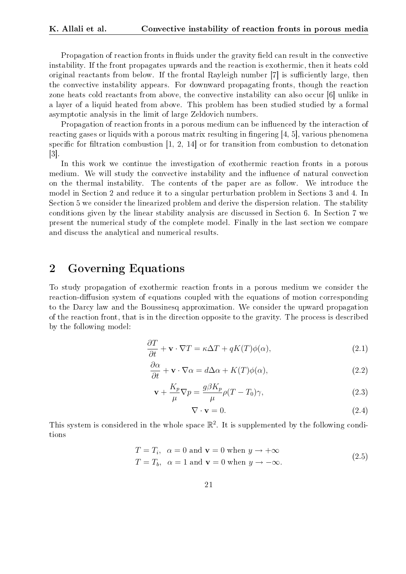Propagation of reaction fronts in fluids under the gravity field can result in the convective instability. If the front propagates upwards and the reaction is exothermic, then it heats cold original reactants from below. If the frontal Rayleigh number  $[7]$  is sufficiently large, then the convective instability appears. For downward propagating fronts, though the reaction zone heats cold reactants from above, the convective instability can also occur [6] unlike in a layer of a liquid heated from above. This problem has been studied studied by a formal asymptotic analysis in the limit of large Zeldovich numbers.

Propagation of reaction fronts in a porous medium can be influenced by the interaction of reacting gases or liquids with a porous matrix resulting in fingering  $[4, 5]$ , various phenomena specific for filtration combustion  $[1, 2, 14]$  or for transition from combustion to detonation [3].

In this work we continue the investigation of exothermic reaction fronts in a porous medium. We will study the convective instability and the influence of natural convection on the thermal instability. The contents of the paper are as follow. We introduce the model in Section 2 and reduce it to a singular perturbation problem in Sections 3 and 4. In Section 5 we consider the linearized problem and derive the dispersion relation. The stability conditions given by the linear stability analysis are discussed in Section 6. In Section 7 we present the numerical study of the complete model. Finally in the last section we compare and discuss the analytical and numerical results.

# 2 Governing Equations

To study propagation of exothermic reaction fronts in a porous medium we consider the reaction-diffusion system of equations coupled with the equations of motion corresponding to the Darcy law and the Boussinesq approximation. We consider the upward propagation of the reaction front, that is in the direction opposite to the gravity. The process is described by the following model:

$$
\frac{\partial T}{\partial t} + \mathbf{v} \cdot \nabla T = \kappa \Delta T + qK(T)\phi(\alpha),\tag{2.1}
$$

$$
\frac{\partial \alpha}{\partial t} + \mathbf{v} \cdot \nabla \alpha = d\Delta \alpha + K(T)\phi(\alpha),\tag{2.2}
$$

$$
\mathbf{v} + \frac{K_p}{\mu} \nabla p = \frac{g\beta K_p}{\mu} \rho (T - T_0) \gamma,
$$
\n(2.3)

$$
\nabla \cdot \mathbf{v} = 0. \tag{2.4}
$$

This system is considered in the whole space  $\mathbb{R}^2$ . It is supplemented by the following conditions

$$
T = T_i, \quad \alpha = 0 \text{ and } \mathbf{v} = 0 \text{ when } y \to +\infty
$$
  

$$
T = T_b, \quad \alpha = 1 \text{ and } \mathbf{v} = 0 \text{ when } y \to -\infty.
$$
 (2.5)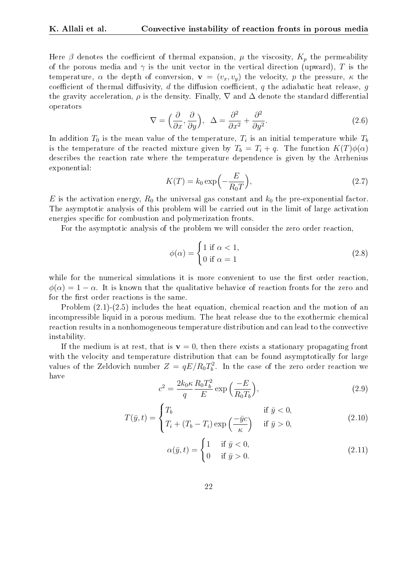Here  $\beta$  denotes the coefficient of thermal expansion,  $\mu$  the viscosity,  $K_p$  the permeability of the porous media and  $\gamma$  is the unit vector in the vertical direction (upward), T is the temperature,  $\alpha$  the depth of conversion,  $\mathbf{v} = (v_x, v_y)$  the velocity, p the pressure,  $\kappa$  the coefficient of thermal diffusivity, d the diffusion coefficient, q the adiabatic heat release, q the gravity acceleration,  $\rho$  is the density. Finally,  $\nabla$  and  $\Delta$  denote the standard differential operators

$$
\nabla = \left(\frac{\partial}{\partial x}, \frac{\partial}{\partial y}\right), \quad \Delta = \frac{\partial^2}{\partial x^2} + \frac{\partial^2}{\partial y^2}.
$$
\n(2.6)

In addition  $T_0$  is the mean value of the temperature,  $T_i$  is an initial temperature while  $T_b$ is the temperature of the reacted mixture given by  $T_b = T_i + q$ . The function  $K(T)\phi(\alpha)$ describes the reaction rate where the temperature dependence is given by the Arrhenius exponential: ´

$$
K(T) = k_0 \exp\left(-\frac{E}{R_0 T}\right),\tag{2.7}
$$

E is the activation energy,  $R_0$  the universal gas constant and  $k_0$  the pre-exponential factor. The asymptotic analysis of this problem will be carried out in the limit of large activation energies specific for combustion and polymerization fronts.

For the asymptotic analysis of the problem we will consider the zero order reaction,

$$
\phi(\alpha) = \begin{cases} 1 \text{ if } \alpha < 1, \\ 0 \text{ if } \alpha = 1 \end{cases}
$$
 (2.8)

while for the numerical simulations it is more convenient to use the first order reaction,  $\phi(\alpha) = 1 - \alpha$ . It is known that the qualitative behavior of reaction fronts for the zero and for the first order reactions is the same.

Problem (2.1)-(2.5) includes the heat equation, chemical reaction and the motion of an incompressible liquid in a porous medium. The heat release due to the exothermic chemical reaction results in a nonhomogeneous temperature distribution and can lead to the convective instability.

If the medium is at rest, that is  $\mathbf{v} = 0$ , then there exists a stationary propagating front with the velocity and temperature distribution that can be found asymptotically for large values of the Zeldovich number  $Z = qE/R_0T_b^2$ . In the case of the zero order reaction we have

$$
c^2 = \frac{2k_0\kappa}{q} \frac{R_0 T_b^2}{E} \exp\left(\frac{-E}{R_0 T_b}\right),\tag{2.9}
$$

$$
T(\bar{y},t) = \begin{cases} T_b & \text{if } \bar{y} < 0, \\ T_i + (T_b - T_i) \exp\left(\frac{-\bar{y}c}{\kappa}\right) & \text{if } \bar{y} > 0, \end{cases}
$$
(2.10)

$$
\alpha(\bar{y}, t) = \begin{cases} 1 & \text{if } \bar{y} < 0, \\ 0 & \text{if } \bar{y} > 0. \end{cases} \tag{2.11}
$$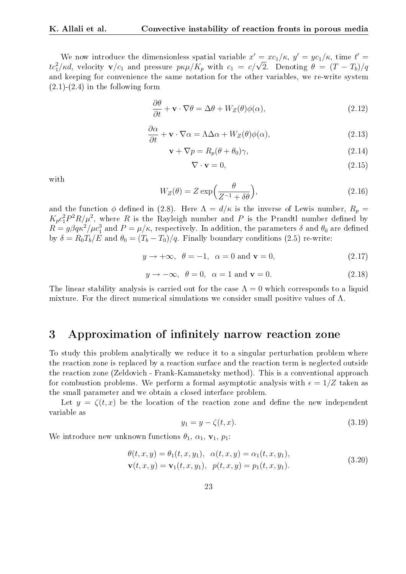We now introduce the dimensionless spatial variable  $x' = xc_1/\kappa$ ,  $y' = yc_1/\kappa$ , time  $t' =$ We now introduce the dimensionless spatial variable  $x = xc_1/\kappa$ ,  $y = yc_1/\kappa$ , time  $t = tc_1^2/\kappa d$ , velocity  $\mathbf{v}/c_1$  and pressure  $p\kappa\mu/K_p$  with  $c_1 = c/\sqrt{2}$ . Denoting  $\theta = (T - T_b)/q$ and keeping for convenience the same notation for the other variables, we re-write system  $(2.1)-(2.4)$  in the following form

$$
\frac{\partial \theta}{\partial t} + \mathbf{v} \cdot \nabla \theta = \Delta \theta + W_Z(\theta) \phi(\alpha), \qquad (2.12)
$$

$$
\frac{\partial \alpha}{\partial t} + \mathbf{v} \cdot \nabla \alpha = \Lambda \Delta \alpha + W_Z(\theta) \phi(\alpha), \qquad (2.13)
$$

$$
\mathbf{v} + \nabla p = R_p(\theta + \theta_0)\gamma,\tag{2.14}
$$

$$
\nabla \cdot \mathbf{v} = 0,\tag{2.15}
$$

with

$$
W_Z(\theta) = Z \exp\left(\frac{\theta}{Z^{-1} + \delta\theta}\right),\tag{2.16}
$$

and the function  $\phi$  defined in (2.8). Here  $\Lambda = d/\kappa$  is the inverse of Lewis number,  $R_p =$  $K_pc_1^2P^2R/\mu^2$ , where R is the Rayleigh number and P is the Prandtl number defined by  $R=g\beta q\kappa^2/\mu c_1^3$  and  $P=\mu/\kappa,$  respectively. In addition, the parameters  $\delta$  and  $\theta_0$  are defined by  $\delta = R_0 T_b / E$  and  $\theta_0 = (T_b - T_0) / q$ . Finally boundary conditions (2.5) re-write:

$$
y \to +\infty, \ \theta = -1, \ \alpha = 0 \text{ and } \mathbf{v} = 0,
$$
\n(2.17)

$$
y \to -\infty, \ \theta = 0, \ \alpha = 1 \text{ and } \mathbf{v} = 0. \tag{2.18}
$$

The linear stability analysis is carried out for the case  $\Lambda = 0$  which corresponds to a liquid mixture. For the direct numerical simulations we consider small positive values of  $\Lambda$ .

### 3 Approximation of infinitely narrow reaction zone

To study this problem analytically we reduce it to a singular perturbation problem where the reaction zone is replaced by a reaction surface and the reaction term is neglected outside the reaction zone (Zeldovich - Frank-Kamanetsky method). This is a conventional approach for combustion problems. We perform a formal asymptotic analysis with  $\epsilon = 1/Z$  taken as the small parameter and we obtain a closed interface problem.

Let  $y = \zeta(t, x)$  be the location of the reaction zone and define the new independent variable as

$$
y_1 = y - \zeta(t, x). \tag{3.19}
$$

We introduce new unknown functions  $\theta_1$ ,  $\alpha_1$ ,  $\mathbf{v}_1$ ,  $p_1$ :

$$
\begin{aligned} \theta(t, x, y) &= \theta_1(t, x, y_1), \ \alpha(t, x, y) = \alpha_1(t, x, y_1), \\ \mathbf{v}(t, x, y) &= \mathbf{v}_1(t, x, y_1), \ \ p(t, x, y) = p_1(t, x, y_1). \end{aligned} \tag{3.20}
$$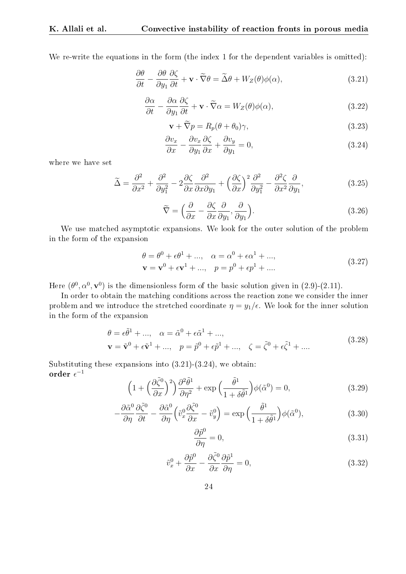We re-write the equations in the form (the index 1 for the dependent variables is omitted):

$$
\frac{\partial \theta}{\partial t} - \frac{\partial \theta}{\partial y_1} \frac{\partial \zeta}{\partial t} + \mathbf{v} \cdot \tilde{\nabla} \theta = \tilde{\Delta} \theta + W_Z(\theta) \phi(\alpha), \qquad (3.21)
$$

$$
\frac{\partial \alpha}{\partial t} - \frac{\partial \alpha}{\partial y_1} \frac{\partial \zeta}{\partial t} + \mathbf{v} \cdot \widetilde{\nabla} \alpha = W_Z(\theta) \phi(\alpha),\tag{3.22}
$$

$$
\mathbf{v} + \widetilde{\nabla}p = R_p(\theta + \theta_0)\gamma,\tag{3.23}
$$

$$
\frac{\partial v_x}{\partial x} - \frac{\partial v_x}{\partial y_1} \frac{\partial \zeta}{\partial x} + \frac{\partial v_y}{\partial y_1} = 0,
$$
\n(3.24)

where we have set

$$
\widetilde{\Delta} = \frac{\partial^2}{\partial x^2} + \frac{\partial^2}{\partial y_1^2} - 2\frac{\partial \zeta}{\partial x}\frac{\partial^2}{\partial x \partial y_1} + \left(\frac{\partial \zeta}{\partial x}\right)^2 \frac{\partial^2}{\partial y_1^2} - \frac{\partial^2 \zeta}{\partial x^2}\frac{\partial}{\partial y_1},
$$
\n(3.25)

$$
\widetilde{\nabla} = \left(\frac{\partial}{\partial x} - \frac{\partial \zeta}{\partial x} \frac{\partial}{\partial y_1}, \frac{\partial}{\partial y_1}\right). \tag{3.26}
$$

We use matched asymptotic expansions. We look for the outer solution of the problem in the form of the expansion

$$
\theta = \theta^{0} + \epsilon \theta^{1} + ..., \quad \alpha = \alpha^{0} + \epsilon \alpha^{1} + ..., \mathbf{v} = \mathbf{v}^{0} + \epsilon \mathbf{v}^{1} + ..., \quad p = p^{0} + \epsilon p^{1} + ....
$$
\n(3.27)

Here  $(\theta^0, \alpha^0, \mathbf{v}^0)$  is the dimensionless form of the basic solution given in  $(2.9)$ - $(2.11)$ .

In order to obtain the matching conditions across the reaction zone we consider the inner problem and we introduce the stretched coordinate  $\eta = y_1/\epsilon$ . We look for the inner solution in the form of the expansion

$$
\theta = \epsilon \tilde{\theta}^{1} + ..., \quad \alpha = \tilde{\alpha}^{0} + \epsilon \tilde{\alpha}^{1} + ..., \mathbf{v} = \tilde{\mathbf{v}}^{0} + \epsilon \tilde{\mathbf{v}}^{1} + ..., \quad p = \tilde{p}^{0} + \epsilon \tilde{p}^{1} + ..., \quad \zeta = \tilde{\zeta}^{0} + \epsilon \tilde{\zeta}^{1} + ....
$$
\n(3.28)

Substituting these expansions into  $(3.21)-(3.24)$ , we obtain: order  $\epsilon^{-1}$ 

$$
\left(1 + \left(\frac{\partial \tilde{\zeta}^0}{\partial x}\right)^2\right) \frac{\partial^2 \tilde{\theta}^1}{\partial \eta^2} + \exp\left(\frac{\tilde{\theta}^1}{1 + \delta \tilde{\theta}^1}\right) \phi(\tilde{\alpha}^0) = 0,\tag{3.29}
$$

$$
-\frac{\partial \tilde{\alpha}^0}{\partial \eta} \frac{\partial \tilde{\zeta}^0}{\partial t} - \frac{\partial \tilde{\alpha}^0}{\partial \eta} \left(\tilde{v}_x^0 \frac{\partial \tilde{\zeta}^0}{\partial x} - \tilde{v}_y^0\right) = \exp\left(\frac{\tilde{\theta}^1}{1 + \delta \tilde{\theta}^1}\right) \phi(\tilde{\alpha}^0),\tag{3.30}
$$

$$
\frac{\partial \tilde{p}^0}{\partial \eta} = 0,\t\t(3.31)
$$

$$
\tilde{v}_x^0 + \frac{\partial \tilde{p}^0}{\partial x} - \frac{\partial \tilde{\zeta}^0}{\partial x} \frac{\partial \tilde{p}^1}{\partial \eta} = 0,
$$
\n(3.32)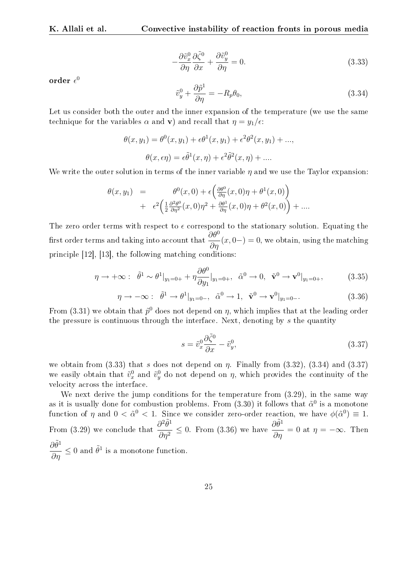$$
-\frac{\partial \tilde{v}_x^0}{\partial \eta} \frac{\partial \tilde{\zeta}^0}{\partial x} + \frac{\partial \tilde{v}_y^0}{\partial \eta} = 0.
$$
\n(3.33)

order  $\epsilon^0$ 

$$
\tilde{v}_y^0 + \frac{\partial \tilde{p}^1}{\partial \eta} = -R_p \theta_0,\tag{3.34}
$$

Let us consider both the outer and the inner expansion of the temperature (we use the same technique for the variables  $\alpha$  and **v**) and recall that  $\eta = y_1/\epsilon$ :

$$
\theta(x, y_1) = \theta^0(x, y_1) + \epsilon \theta^1(x, y_1) + \epsilon^2 \theta^2(x, y_1) + ...,
$$

$$
\theta(x, \epsilon \eta) = \epsilon \tilde{\theta}^1(x, \eta) + \epsilon^2 \tilde{\theta}^2(x, \eta) + ....
$$

We write the outer solution in terms of the inner variable  $\eta$  and we use the Taylor expansion:

$$
\theta(x, y_1) = \theta^0(x, 0) + \epsilon \left( \frac{\partial \theta^0}{\partial \eta}(x, 0)\eta + \theta^1(x, 0) \right) \n+ \epsilon^2 \left( \frac{1}{2} \frac{\partial^2 \theta^0}{\partial \eta^2}(x, 0)\eta^2 + \frac{\partial \theta^1}{\partial \eta}(x, 0)\eta + \theta^2(x, 0) \right) + \dots
$$

The zero order terms with respect to  $\epsilon$  correspond to the stationary solution. Equating the first order terms and taking into account that  $\frac{\partial \theta^0}{\partial \eta}(x, 0-) = 0$ , we obtain, using the matching principle [12], [13], the following matching conditions:

$$
\eta \to +\infty: \quad \tilde{\theta}^1 \sim \theta^1|_{y_1=0+} + \eta \frac{\partial \theta^0}{\partial y_1}|_{y_1=0+}, \quad \tilde{\alpha}^0 \to 0, \quad \tilde{\mathbf{v}}^0 \to \mathbf{v}^0|_{y_1=0+}, \tag{3.35}
$$

$$
\eta \to -\infty: \quad \tilde{\theta}^1 \to \theta^1|_{y_1=0-}, \quad \tilde{\alpha}^0 \to 1, \quad \tilde{\mathbf{v}}^0 \to \mathbf{v}^0|_{y_1=0-}.\tag{3.36}
$$

From (3.31) we obtain that  $\tilde{p}^0$  does not depend on  $\eta$ , which implies that at the leading order the pressure is continuous through the interface. Next, denoting by s the quantity

$$
s = \tilde{v}_x^0 \frac{\partial \tilde{\zeta}^0}{\partial x} - \tilde{v}_y^0,\tag{3.37}
$$

we obtain from (3.33) that s does not depend on  $\eta$ . Finally from (3.32), (3.34) and (3.37) we easily obtain that  $\tilde{v}_x^0$  and  $\tilde{v}_y^0$  do not depend on  $\eta$ , which provides the continuity of the velocity across the interface.

We next derive the jump conditions for the temperature from  $(3.29)$ , in the same way as it is usually done for combustion problems. From (3.30) it follows that  $\tilde{\alpha}^0$  is a monotone function of  $\eta$  and  $0 < \tilde{\alpha}^0 < 1$ . Since we consider zero-order reaction, we have  $\phi(\tilde{\alpha}^0) \equiv 1$ . From (3.29) we conclude that  $\frac{\partial^2 \tilde{\theta}^1}{\partial x^2}$  $\frac{\partial^2 \tilde{\theta}^1}{\partial \eta^2} \leq 0$ . From (3.36) we have  $\frac{\partial \tilde{\theta}^1}{\partial \eta}$  $rac{\partial \sigma}{\partial \eta} = 0$  at  $\eta = -\infty$ . Then  $\frac{\partial \tilde{\theta}^1}{\partial \eta} \leq 0$  and  $\tilde{\theta}^1$  is a monotone function.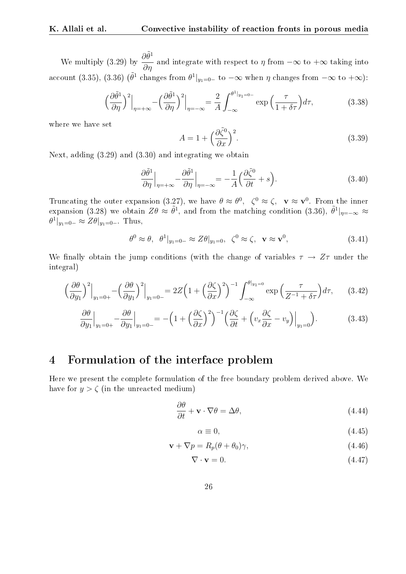We multiply (3.29) by  $\frac{\partial \tilde{\theta}^1}{\partial \theta}$  $rac{\partial \sigma}{\partial \eta}$  and integrate with respect to  $\eta$  from  $-\infty$  to  $+\infty$  taking into account (3.35), (3.36) ( $\tilde{\theta}^1$  changes from  $\theta^1|_{y_1=0}$  to  $-\infty$  when  $\eta$  changes from  $-\infty$  to  $+\infty$ ):

$$
\left(\frac{\partial \tilde{\theta}^1}{\partial \eta}\right)^2\Big|_{\eta = +\infty} - \left(\frac{\partial \tilde{\theta}^1}{\partial \eta}\right)^2\Big|_{\eta = -\infty} = \frac{2}{A} \int_{-\infty}^{\theta^1|_{y_1 = 0^-}} \exp\left(\frac{\tau}{1 + \delta\tau}\right) d\tau,\tag{3.38}
$$

where we have set

$$
A = 1 + \left(\frac{\partial \tilde{\zeta}^0}{\partial x}\right)^2.
$$
\n(3.39)

Next, adding (3.29) and (3.30) and integrating we obtain

$$
\frac{\partial \tilde{\theta}^1}{\partial \eta}\Big|_{\eta = +\infty} - \frac{\partial \tilde{\theta}^1}{\partial \eta}\Big|_{\eta = -\infty} = -\frac{1}{A} \Big(\frac{\partial \tilde{\zeta}^0}{\partial t} + s\Big). \tag{3.40}
$$

Truncating the outer expansion (3.27), we have  $\theta \approx \theta^0$ ,  $\zeta^0 \approx \zeta$ ,  $\mathbf{v} \approx \mathbf{v}^0$ . From the inner expansion (3.28) we obtain  $Z\theta \approx \tilde{\theta}^1$ , and from the matching condition (3.36),  $\tilde{\theta}^1|_{\eta=-\infty} \approx$  $\theta^1|_{y_1=0^-} \approx Z\theta|_{y_1=0^-}$ . Thus,

$$
\theta^0 \approx \theta, \ \theta^1|_{y_1=0-} \approx Z\theta|_{y_1=0}, \ \zeta^0 \approx \zeta, \ \mathbf{v} \approx \mathbf{v}^0,
$$
\n(3.41)

We finally obtain the jump conditions (with the change of variables  $\tau \to Z\tau$  under the integral)

$$
\left. \left(\frac{\partial \theta}{\partial y_1}\right)^2 \Big|_{y_1=0+} - \left(\frac{\partial \theta}{\partial y_1}\right)^2 \Big|_{y_1=0-} = 2Z \left(1 + \left(\frac{\partial \zeta}{\partial x}\right)^2\right)^{-1} \int_{-\infty}^{\theta|_{y_1=0}} \exp\left(\frac{\tau}{Z^{-1} + \delta\tau}\right) d\tau, \tag{3.42}
$$

$$
\frac{\partial \theta}{\partial y_1}\Big|_{y_1=0+} - \frac{\partial \theta}{\partial y_1}\Big|_{y_1=0-} = -\left(1 + \left(\frac{\partial \zeta}{\partial x}\right)^2\right)^{-1} \left(\frac{\partial \zeta}{\partial t} + \left(v_x \frac{\partial \zeta}{\partial x} - v_y\right)\Big|_{y_1=0}\right). \tag{3.43}
$$

### 4 Formulation of the interface problem

Here we present the complete formulation of the free boundary problem derived above. We have for  $y > \zeta$  (in the unreacted medium)

$$
\frac{\partial \theta}{\partial t} + \mathbf{v} \cdot \nabla \theta = \Delta \theta, \tag{4.44}
$$

$$
\alpha \equiv 0,\tag{4.45}
$$

$$
\mathbf{v} + \nabla p = R_p(\theta + \theta_0)\gamma,\tag{4.46}
$$

$$
\nabla \cdot \mathbf{v} = 0. \tag{4.47}
$$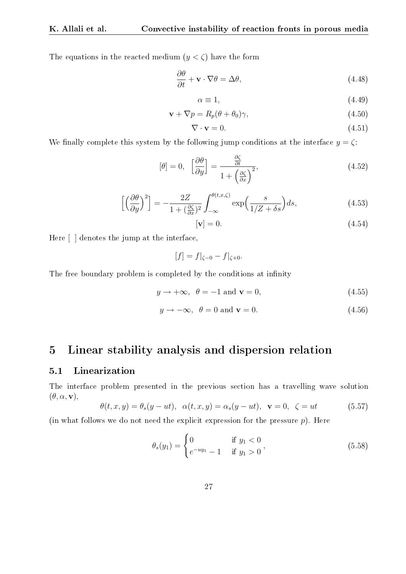The equations in the reacted medium  $(y < \zeta)$  have the form

$$
\frac{\partial \theta}{\partial t} + \mathbf{v} \cdot \nabla \theta = \Delta \theta, \tag{4.48}
$$

$$
\alpha \equiv 1,\tag{4.49}
$$

$$
\mathbf{v} + \nabla p = R_p(\theta + \theta_0)\gamma,\tag{4.50}
$$

$$
\nabla \cdot \mathbf{v} = 0. \tag{4.51}
$$

We finally complete this system by the following jump conditions at the interface  $y = \zeta$ :

$$
[\theta] = 0, \quad \left[\frac{\partial \theta}{\partial y}\right] = \frac{\frac{\partial \zeta}{\partial t}}{1 + \left(\frac{\partial \zeta}{\partial x}\right)^2},\tag{4.52}
$$

$$
\left[ \left( \frac{\partial \theta}{\partial y} \right)^2 \right] = -\frac{2Z}{1 + (\frac{\partial \zeta}{\partial x})^2} \int_{-\infty}^{\theta(t, x, \zeta)} \exp\left( \frac{s}{1/Z + \delta s} \right) ds, \tag{4.53}
$$

$$
[\mathbf{v}] = 0.\tag{4.54}
$$

Here [ ] denotes the jump at the interface,

 $[f] = f|_{\zeta=0} - f|_{\zeta=0}.$ 

The free boundary problem is completed by the conditions at infinity

$$
y \to +\infty, \ \theta = -1 \text{ and } \mathbf{v} = 0,
$$
\n(4.55)

$$
y \to -\infty, \ \theta = 0 \text{ and } \mathbf{v} = 0. \tag{4.56}
$$

# 5 Linear stability analysis and dispersion relation

#### 5.1 Linearization

The interface problem presented in the previous section has a travelling wave solution  $(\theta, \alpha, \mathbf{v}),$ 

$$
\theta(t, x, y) = \theta_s(y - ut), \quad \alpha(t, x, y) = \alpha_s(y - ut), \quad \mathbf{v} = 0, \quad \zeta = ut \tag{5.57}
$$

(in what follows we do not need the explicit expression for the pressure  $p$ ). Here

$$
\theta_s(y_1) = \begin{cases} 0 & \text{if } y_1 < 0\\ e^{-uy_1} - 1 & \text{if } y_1 > 0 \end{cases},
$$
\n(5.58)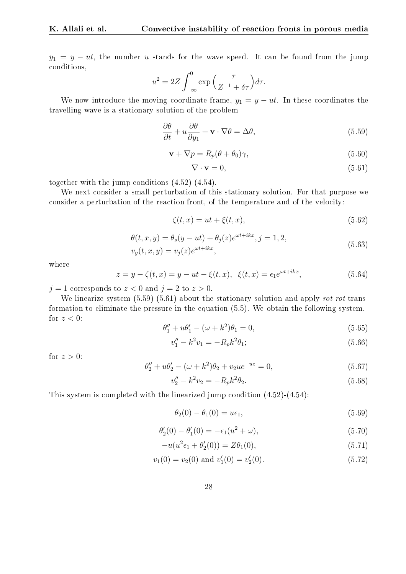$y_1 = y - ut$ , the number u stands for the wave speed. It can be found from the jump conditions,

$$
u^{2} = 2Z \int_{-\infty}^{0} \exp\left(\frac{\tau}{Z^{-1} + \delta\tau}\right) d\tau.
$$

We now introduce the moving coordinate frame,  $y_1 = y - ut$ . In these coordinates the travelling wave is a stationary solution of the problem

$$
\frac{\partial \theta}{\partial t} + u \frac{\partial \theta}{\partial y_1} + \mathbf{v} \cdot \nabla \theta = \Delta \theta, \tag{5.59}
$$

$$
\mathbf{v} + \nabla p = R_p(\theta + \theta_0)\gamma,\tag{5.60}
$$

$$
\nabla \cdot \mathbf{v} = 0,\tag{5.61}
$$

together with the jump conditions (4.52)-(4.54).

We next consider a small perturbation of this stationary solution. For that purpose we consider a perturbation of the reaction front, of the temperature and of the velocity:

$$
\zeta(t,x) = ut + \xi(t,x),\tag{5.62}
$$

$$
\theta(t, x, y) = \theta_s(y - ut) + \theta_j(z)e^{\omega t + ikx}, j = 1, 2,
$$
  

$$
v_y(t, x, y) = v_j(z)e^{\omega t + ikx},
$$
 (5.63)

where

$$
z = y - \zeta(t, x) = y - ut - \xi(t, x), \ \xi(t, x) = \epsilon_1 e^{\omega t + ikx}, \tag{5.64}
$$

 $j = 1$  corresponds to  $z < 0$  and  $j = 2$  to  $z > 0$ .

We linearize system  $(5.59)-(5.61)$  about the stationary solution and apply rot rot transformation to eliminate the pressure in the equation (5.5). We obtain the following system, for  $z < 0$ :

$$
\theta_1'' + u\theta_1' - (\omega + k^2)\theta_1 = 0,
$$
\n(5.65)

$$
v_1'' - k^2 v_1 = -R_p k^2 \theta_1; \tag{5.66}
$$

for  $z > 0$ :

$$
\theta_2'' + u\theta_2' - (\omega + k^2)\theta_2 + v_2 u e^{-uz} = 0,
$$
\n(5.67)

$$
v_2'' - k^2 v_2 = -R_p k^2 \theta_2.
$$
\n(5.68)

This system is completed with the linearized jump condition (4.52)-(4.54):

$$
\theta_2(0) - \theta_1(0) = u\epsilon_1,\tag{5.69}
$$

$$
\theta_2'(0) - \theta_1'(0) = -\epsilon_1(u^2 + \omega),\tag{5.70}
$$

$$
-u(u^{2}\epsilon_{1} + \theta'_{2}(0)) = Z\theta_{1}(0), \qquad (5.71)
$$

$$
v_1(0) = v_2(0) \text{ and } v'_1(0) = v'_2(0). \tag{5.72}
$$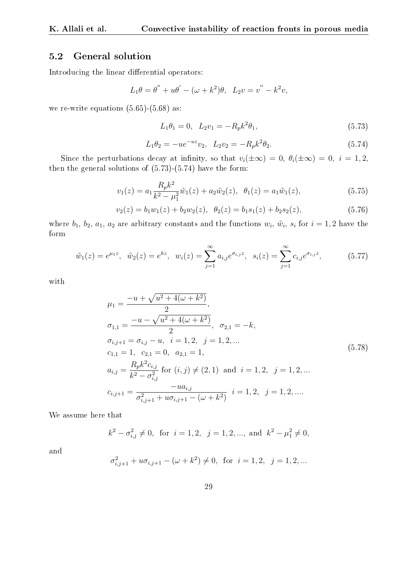#### 5.2 General solution

Introducing the linear differential operators:

$$
L_1\theta = \theta'' + u\theta' - (\omega + k^2)\theta
$$
,  $L_2v = v'' - k^2v$ ,

we re-write equations  $(5.65)$ - $(5.68)$  as:

$$
L_1 \theta_1 = 0, \quad L_2 v_1 = -R_p k^2 \theta_1,\tag{5.73}
$$

$$
L_1 \theta_2 = -u e^{-u z} v_2, \quad L_2 v_2 = -R_p k^2 \theta_2. \tag{5.74}
$$

Since the perturbations decay at infinity, so that  $v_i(\pm \infty) = 0$ ,  $\theta_i(\pm \infty) = 0$ ,  $i = 1, 2$ , then the general solutions of (5.73)-(5.74) have the form:

$$
v_1(z) = a_1 \frac{R_p k^2}{k^2 - \mu_1^2} \tilde{w}_1(z) + a_2 \tilde{w}_2(z), \ \ \theta_1(z) = a_1 \tilde{w}_1(z), \tag{5.75}
$$

$$
v_2(z) = b_1 w_1(z) + b_2 w_2(z), \ \ \theta_2(z) = b_1 s_1(z) + b_2 s_2(z), \tag{5.76}
$$

where  $b_1, b_2, a_1, a_2$  are arbitrary constants and the functions  $w_i, \tilde{w}_i, s_i$  for  $i = 1, 2$  have the form

$$
\tilde{w}_1(z) = e^{\mu_1 z}, \quad \tilde{w}_2(z) = e^{kz}, \quad w_i(z) = \sum_{j=1}^{\infty} a_{i,j} e^{\sigma_{i,j} z}, \quad s_i(z) = \sum_{j=1}^{\infty} c_{i,j} e^{\sigma_{i,j} z},
$$
\n
$$
(5.77)
$$

with

$$
\mu_1 = \frac{-u + \sqrt{u^2 + 4(\omega + k^2)}}{2},
$$
\n
$$
\sigma_{1,1} = \frac{-u - \sqrt{u^2 + 4(\omega + k^2)}}{2}, \quad \sigma_{2,1} = -k,
$$
\n
$$
\sigma_{i,j+1} = \sigma_{i,j} - u, \quad i = 1, 2, \quad j = 1, 2, \dots
$$
\n
$$
c_{1,1} = 1, \quad c_{2,1} = 0, \quad a_{2,1} = 1,
$$
\n
$$
a_{i,j} = \frac{R_p k^2 c_{i,j}}{k^2 - \sigma_{i,j}^2} \text{ for } (i, j) \neq (2, 1) \text{ and } i = 1, 2, \quad j = 1, 2, \dots
$$
\n
$$
c_{i,j+1} = \frac{-u a_{i,j}}{\sigma_{i,j+1}^2 + u \sigma_{i,j+1} - (\omega + k^2)} \quad i = 1, 2, \quad j = 1, 2, \dots
$$
\n(5.78)

We assume here that

$$
k^2 - \sigma_{i,j}^2 \neq 0
$$
, for  $i = 1, 2, j = 1, 2, ...,$  and  $k^2 - \mu_1^2 \neq 0$ ,

and

$$
\sigma_{i,j+1}^2 + u\sigma_{i,j+1} - (\omega + k^2) \neq 0
$$
, for  $i = 1, 2, j = 1, 2, ...$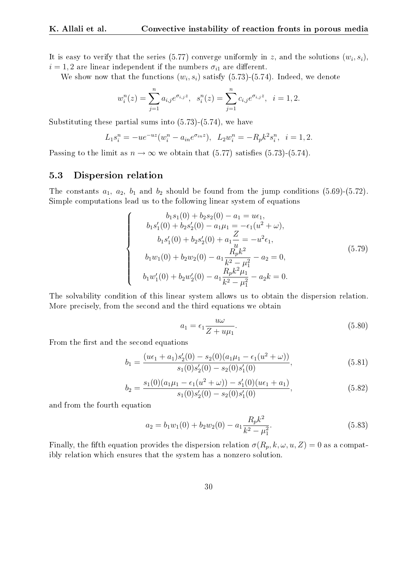It is easy to verify that the series (5.77) converge uniformly in z, and the solutions  $(w_i, s_i)$ ,  $i = 1, 2$  are linear independent if the numbers  $\sigma_{i1}$  are different.

We show now that the functions  $(w_i, s_i)$  satisfy (5.73)-(5.74). Indeed, we denote

$$
w_i^n(z) = \sum_{j=1}^n a_{i,j} e^{\sigma_{i,j} z}, \quad s_i^n(z) = \sum_{j=1}^n c_{i,j} e^{\sigma_{i,j} z}, \quad i = 1, 2.
$$

Substituting these partial sums into (5.73)-(5.74), we have

$$
L_1 s_i^n = -u e^{-u z} (w_i^n - a_{in} e^{\sigma_{in} z}), \quad L_2 w_i^n = -R_p k^2 s_i^n, \quad i = 1, 2.
$$

Passing to the limit as  $n \to \infty$  we obtain that (5.77) satisfies (5.73)-(5.74).

#### 5.3 Dispersion relation

The constants  $a_1$ ,  $a_2$ ,  $b_1$  and  $b_2$  should be found from the jump conditions (5.69)-(5.72). Simple computations lead us to the following linear system of equations

$$
\begin{cases}\n b_1 s_1(0) + b_2 s_2(0) - a_1 = u\epsilon_1, \\
b_1 s'_1(0) + b_2 s'_2(0) - a_1 \mu_1 = -\epsilon_1 (u^2 + \omega), \\
b_1 s'_1(0) + b_2 s'_2(0) + a_1 \frac{Z}{u} = -u^2 \epsilon_1, \\
b_1 w_1(0) + b_2 w_2(0) - a_1 \frac{R_p k^2}{k^2 - \mu_1^2} - a_2 = 0, \\
b_1 w'_1(0) + b_2 w'_2(0) - a_1 \frac{R_p k^2 \mu_1}{k^2 - \mu_1^2} - a_2 k = 0.\n\end{cases}
$$
\n(5.79)

The solvability condition of this linear system allows us to obtain the dispersion relation. More precisely, from the second and the third equations we obtain

$$
a_1 = \epsilon_1 \frac{u\omega}{Z + u\mu_1}.\tag{5.80}
$$

From the first and the second equations

$$
b_1 = \frac{(u\epsilon_1 + a_1)s_2'(0) - s_2(0)(a_1\mu_1 - \epsilon_1(u^2 + \omega))}{s_1(0)s_2'(0) - s_2(0)s_1'(0)},
$$
\n(5.81)

$$
b_2 = \frac{s_1(0)(a_1\mu_1 - \epsilon_1(u^2 + \omega)) - s'_1(0)(u\epsilon_1 + a_1)}{s_1(0)s'_2(0) - s_2(0)s'_1(0)},
$$
\n(5.82)

and from the fourth equation

$$
a_2 = b_1 w_1(0) + b_2 w_2(0) - a_1 \frac{R_p k^2}{k^2 - \mu_1^2}.
$$
\n(5.83)

Finally, the fifth equation provides the dispersion relation  $\sigma(R_p, k, \omega, u, Z) = 0$  as a compatibly relation which ensures that the system has a nonzero solution.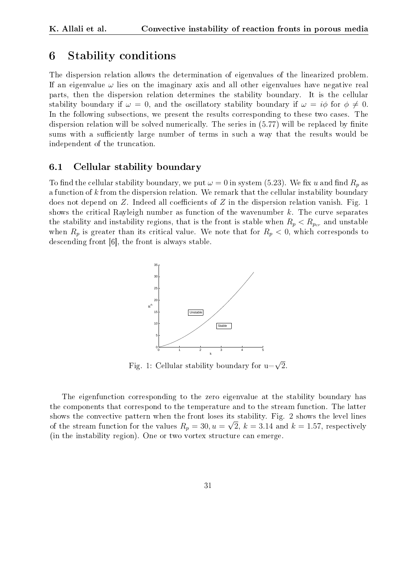### 6 Stability conditions

The dispersion relation allows the determination of eigenvalues of the linearized problem. If an eigenvalue  $\omega$  lies on the imaginary axis and all other eigenvalues have negative real parts, then the dispersion relation determines the stability boundary. It is the cellular stability boundary if  $\omega = 0$ , and the oscillatory stability boundary if  $\omega = i\phi$  for  $\phi \neq 0$ . In the following subsections, we present the results corresponding to these two cases. The dispersion relation will be solved numerically. The series in  $(5.77)$  will be replaced by finite sums with a sufficiently large number of terms in such a way that the results would be independent of the truncation.

#### 6.1 Cellular stability boundary

To find the cellular stability boundary, we put  $\omega = 0$  in system (5.23). We fix u and find  $R_p$  as a function of  $k$  from the dispersion relation. We remark that the cellular instability boundary does not depend on Z. Indeed all coefficients of Z in the dispersion relation vanish. Fig. 1 shows the critical Rayleigh number as function of the wavenumber  $k$ . The curve separates the stability and instability regions, that is the front is stable when  $R_p < R_{p_{cr}}$  and unstable when  $R_p$  is greater than its critical value. We note that for  $R_p < 0$ , which corresponds to descending front [6], the front is always stable.



Fig. 1: Cellular stability boundary for u= $\sqrt{2}$ .

The eigenfunction corresponding to the zero eigenvalue at the stability boundary has the components that correspond to the temperature and to the stream function. The latter shows the convective pattern when the front loses its stability. Fig. 2 shows the level lines of the stream function for the values  $R_p = 30, u = \sqrt{2}, k = 3.14$  and  $k = 1.57$ , respectively (in the instability region). One or two vortex structure can emerge.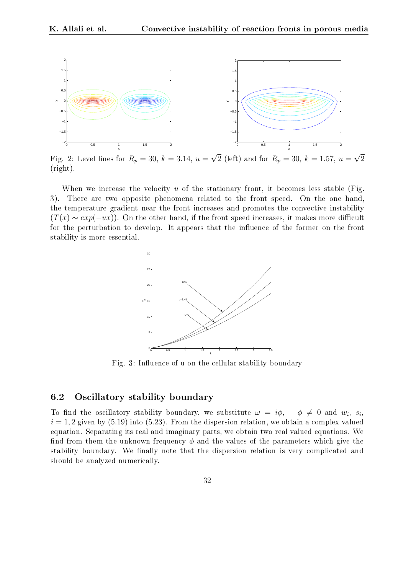

Fig. 2: Level lines for  $R_p = 30, k = 3.14, u =$  $\overline{2}$  (left) and for  $R_p = 30, k = 1.57, u =$ 2 (right).

When we increase the velocity  $u$  of the stationary front, it becomes less stable (Fig. 3). There are two opposite phenomena related to the front speed. On the one hand, the temperature gradient near the front increases and promotes the convective instability  $(T(x) \sim exp(-ux))$ . On the other hand, if the front speed increases, it makes more difficult for the perturbation to develop. It appears that the influence of the former on the front stability is more essential.



Fig. 3: Influence of u on the cellular stability boundary

#### 6.2 Oscillatory stability boundary

To find the oscillatory stability boundary, we substitute  $\omega = i\phi$ ,  $\phi \neq 0$  and  $w_i$ ,  $s_i$ ,  $i = 1, 2$  given by (5.19) into (5.23). From the dispersion relation, we obtain a complex valued equation. Separating its real and imaginary parts, we obtain two real valued equations. We find from them the unknown frequency  $\phi$  and the values of the parameters which give the stability boundary. We finally note that the dispersion relation is very complicated and should be analyzed numerically.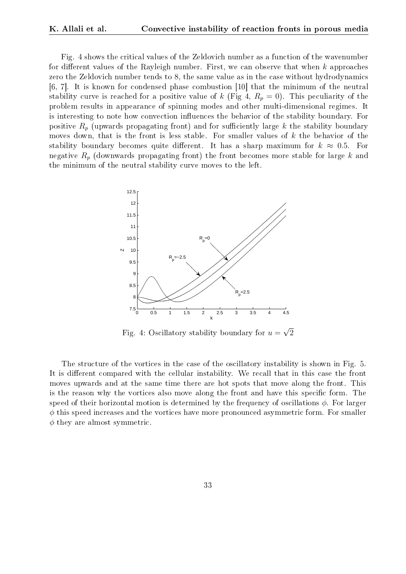Fig. 4 shows the critical values of the Zeldovich number as a function of the wavenumber for different values of the Rayleigh number. First, we can observe that when  $k$  approaches zero the Zeldovich number tends to 8, the same value as in the case without hydrodynamics [6, 7]. It is known for condensed phase combustion [10] that the minimum of the neutral stability curve is reached for a positive value of k (Fig 4,  $R_p = 0$ ). This peculiarity of the problem results in appearance of spinning modes and other multi-dimensional regimes. It is interesting to note how convection influences the behavior of the stability boundary. For positive  $R_p$  (upwards propagating front) and for sufficiently large k the stability boundary moves down, that is the front is less stable. For smaller values of  $k$  the behavior of the stability boundary becomes quite different. It has a sharp maximum for  $k \approx 0.5$ . For negative  $R_p$  (downwards propagating front) the front becomes more stable for large k and the minimum of the neutral stability curve moves to the left.



Fig. 4: Oscillatory stability boundary for  $u =$ 2

The structure of the vortices in the case of the oscillatory instability is shown in Fig. 5. It is different compared with the cellular instability. We recall that in this case the front moves upwards and at the same time there are hot spots that move along the front. This is the reason why the vortices also move along the front and have this specific form. The speed of their horizontal motion is determined by the frequency of oscillations  $\phi$ . For larger  $\phi$  this speed increases and the vortices have more pronounced asymmetric form. For smaller  $\phi$  they are almost symmetric.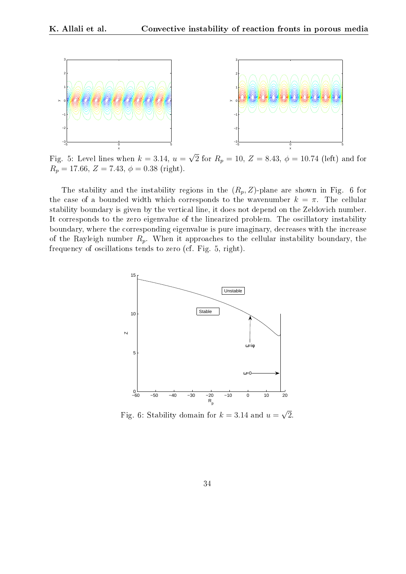

Fig. 5: Level lines when  $k = 3.14, u =$ 2 for  $R_p = 10, Z = 8.43, \phi = 10.74$  (left) and for  $R_p = 17.66, Z = 7.43, \phi = 0.38 \text{ (right)}.$ 

The stability and the instability regions in the  $(R_p, Z)$ -plane are shown in Fig. 6 for the case of a bounded width which corresponds to the wavenumber  $k = \pi$ . The cellular stability boundary is given by the vertical line, it does not depend on the Zeldovich number. It corresponds to the zero eigenvalue of the linearized problem. The oscillatory instability boundary, where the corresponding eigenvalue is pure imaginary, decreases with the increase of the Rayleigh number  $R_p$ . When it approaches to the cellular instability boundary, the frequency of oscillations tends to zero (cf. Fig. 5, right).



Fig. 6: Stability domain for  $k = 3.14$  and  $u =$ 2.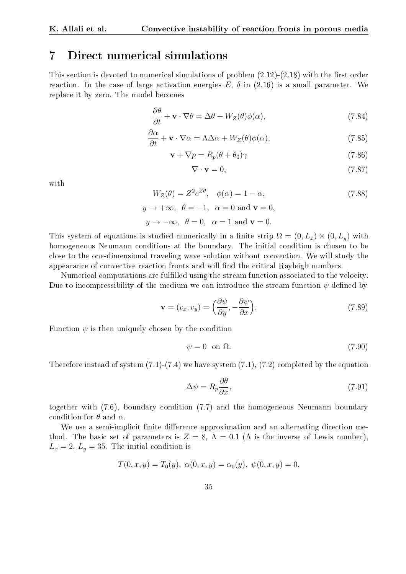### 7 Direct numerical simulations

This section is devoted to numerical simulations of problem  $(2.12)-(2.18)$  with the first order reaction. In the case of large activation energies  $E$ ,  $\delta$  in (2.16) is a small parameter. We replace it by zero. The model becomes

$$
\frac{\partial \theta}{\partial t} + \mathbf{v} \cdot \nabla \theta = \Delta \theta + W_Z(\theta) \phi(\alpha), \qquad (7.84)
$$

$$
\frac{\partial \alpha}{\partial t} + \mathbf{v} \cdot \nabla \alpha = \Lambda \Delta \alpha + W_Z(\theta) \phi(\alpha),\tag{7.85}
$$

$$
\mathbf{v} + \nabla p = R_p(\theta + \theta_0)\gamma \tag{7.86}
$$

$$
\nabla \cdot \mathbf{v} = 0,\tag{7.87}
$$

with

$$
W_Z(\theta) = Z^2 e^{Z\theta}, \quad \phi(\alpha) = 1 - \alpha,
$$
\n
$$
\Rightarrow +\infty, \quad \theta = -1, \quad \alpha = 0 \text{ and } \mathbf{v} = 0
$$
\n(7.88)

$$
y \rightarrow +\infty
$$
,  $v = -1$ ,  $\alpha = 0$  and  $\mathbf{v} = 0$ ,  
 $y \rightarrow -\infty$ ,  $\theta = 0$ ,  $\alpha = 1$  and  $\mathbf{v} = 0$ .

This system of equations is studied numerically in a finite strip  $\Omega = (0, L_x) \times (0, L_y)$  with homogeneous Neumann conditions at the boundary. The initial condition is chosen to be close to the one-dimensional traveling wave solution without convection. We will study the appearance of convective reaction fronts and will find the critical Rayleigh numbers.

Numerical computations are fullled using the stream function associated to the velocity. Due to incompressibility of the medium we can introduce the stream function  $\psi$  defined by

$$
\mathbf{v} = (v_x, v_y) = \left(\frac{\partial \psi}{\partial y}, -\frac{\partial \psi}{\partial x}\right).
$$
 (7.89)

Function  $\psi$  is then uniquely chosen by the condition

$$
\psi = 0 \quad \text{on } \Omega. \tag{7.90}
$$

Therefore instead of system  $(7.1)-(7.4)$  we have system  $(7.1),(7.2)$  completed by the equation

$$
\Delta \psi = R_p \frac{\partial \theta}{\partial x},\tag{7.91}
$$

together with (7.6), boundary condition (7.7) and the homogeneous Neumann boundary condition for  $\theta$  and  $\alpha$ .

We use a semi-implicit finite difference approximation and an alternating direction method. The basic set of parameters is  $Z = 8$ ,  $\Lambda = 0.1$  ( $\Lambda$  is the inverse of Lewis number),  $L_x = 2, L_y = 35$ . The initial condition is

$$
T(0, x, y) = T_0(y), \alpha(0, x, y) = \alpha_0(y), \psi(0, x, y) = 0,
$$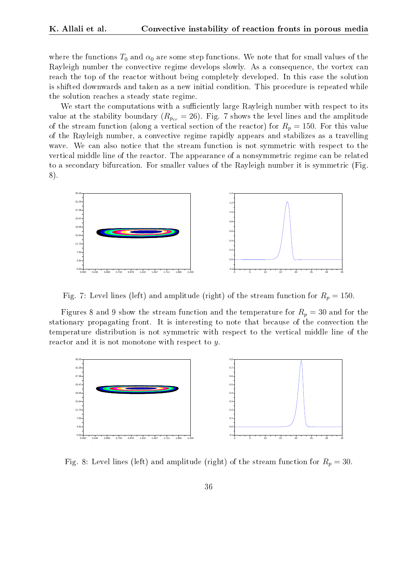where the functions  $T_0$  and  $\alpha_0$  are some step functions. We note that for small values of the Rayleigh number the convective regime develops slowly. As a consequence, the vortex can reach the top of the reactor without being completely developed. In this case the solution is shifted downwards and taken as a new initial condition. This procedure is repeated while the solution reaches a steady state regime.

We start the computations with a sufficiently large Rayleigh number with respect to its value at the stability boundary ( $R_{p_{cr}} = 26$ ). Fig. 7 shows the level lines and the amplitude of the stream function (along a vertical section of the reactor) for  $R_p = 150$ . For this value of the Rayleigh number, a convective regime rapidly appears and stabilizes as a travelling wave. We can also notice that the stream function is not symmetric with respect to the vertical middle line of the reactor. The appearance of a nonsymmetric regime can be related to a secondary bifurcation. For smaller values of the Rayleigh number it is symmetric (Fig. 8).



Fig. 7: Level lines (left) and amplitude (right) of the stream function for  $R_p = 150$ .

Figures 8 and 9 show the stream function and the temperature for  $R_p = 30$  and for the stationary propagating front. It is interesting to note that because of the convection the temperature distribution is not symmetric with respect to the vertical middle line of the reactor and it is not monotone with respect to y.



Fig. 8: Level lines (left) and amplitude (right) of the stream function for  $R_p = 30$ .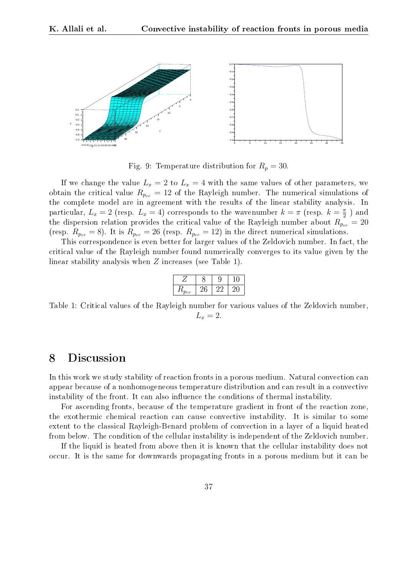

Fig. 9: Temperature distribution for  $R_p = 30$ .

If we change the value  $L_x = 2$  to  $L_x = 4$  with the same values of other parameters, we obtain the critical value  $R_{p_{cr}} = 12$  of the Rayleigh number. The numerical simulations of the complete model are in agreement with the results of the linear stability analysis. In particular,  $L_x = 2$  (resp.  $L_x = 4$ ) corresponds to the wavenumber  $k = \pi$  (resp.  $k = \frac{\pi}{2}$ )  $\frac{\pi}{2}$  ) and the dispersion relation provides the critical value of the Rayleigh number about  $R_{p_{cr}} = 20$ (resp.  $R_{p_{cr}} = 8$ ). It is  $R_{p_{cr}} = 26$  (resp.  $R_{p_{cr}} = 12$ ) in the direct numerical simulations.

This correspondence is even better for larger values of the Zeldovich number. In fact, the critical value of the Rayleigh number found numerically converges to its value given by the linear stability analysis when Z increases (see Table 1).

| $\mathbf{r}$<br>cr |  |  |
|--------------------|--|--|

Table 1: Critical values of the Rayleigh number for various values of the Zeldovich number,  $L_x = 2$ .

### 8 Discussion

In this work we study stability of reaction fronts in a porous medium. Natural convection can appear because of a nonhomogeneous temperature distribution and can result in a convective instability of the front. It can also influence the conditions of thermal instability.

For ascending fronts, because of the temperature gradient in front of the reaction zone, the exothermic chemical reaction can cause convective instability. It is similar to some extent to the classical Rayleigh-Benard problem of convection in a layer of a liquid heated from below. The condition of the cellular instability is independent of the Zeldovich number.

If the liquid is heated from above then it is known that the cellular instability does not occur. It is the same for downwards propagating fronts in a porous medium but it can be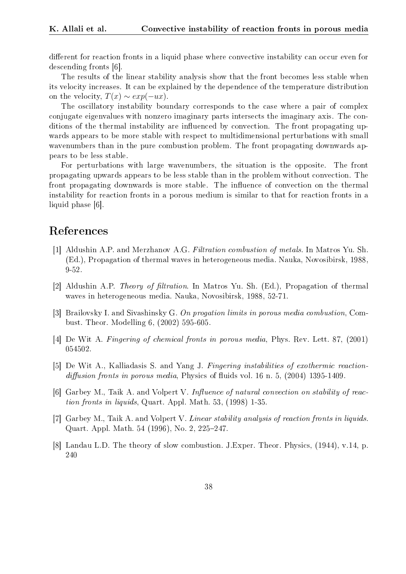different for reaction fronts in a liquid phase where convective instability can occur even for descending fronts [6].

The results of the linear stability analysis show that the front becomes less stable when its velocity increases. It can be explained by the dependence of the temperature distribution on the velocity,  $T(x) \sim exp(-ux)$ .

The oscillatory instability boundary corresponds to the case where a pair of complex conjugate eigenvalues with nonzero imaginary parts intersects the imaginary axis. The conditions of the thermal instability are influenced by convection. The front propagating upwards appears to be more stable with respect to multidimensional perturbations with small wavenumbers than in the pure combustion problem. The front propagating downwards appears to be less stable.

For perturbations with large wavenumbers, the situation is the opposite. The front propagating upwards appears to be less stable than in the problem without convection. The front propagating downwards is more stable. The influence of convection on the thermal instability for reaction fronts in a porous medium is similar to that for reaction fronts in a liquid phase [6].

### References

- [1] Aldushin A.P. and Merzhanov A.G. Filtration combustion of metals. In Matros Yu. Sh. (Ed.), Propagation of thermal waves in heterogeneous media. Nauka, Novosibirsk, 1988, 9-52.
- [2] Aldushin A.P. *Theory of filtration*. In Matros Yu. Sh. (Ed.), Propagation of thermal waves in heterogeneous media. Nauka, Novosibirsk, 1988, 52-71.
- [3] Brailovsky I. and Sivashinsky G. On progation limits in porous media combustion, Combust. Theor. Modelling 6, (2002) 595-605.
- [4] De Wit A. Fingering of chemical fronts in porous media, Phys. Rev. Lett. 87, (2001) 054502.
- [5] De Wit A., Kalliadasis S. and Yang J. Fingering instabilities of exothermic reactiondiffusion fronts in porous media, Physics of fluids vol. 16 n. 5,  $(2004)$  1395-1409.
- [6] Garbey M., Taik A. and Volpert V. Influence of natural convection on stability of reaction fronts in liquids, Quart. Appl. Math. 53, (1998) 1-35.
- [7] Garbey M., Taik A. and Volpert V. Linear stability analysis of reaction fronts in liquids. Quart. Appl. Math. 54 (1996), No. 2, 225–247.
- [8] Landau L.D. The theory of slow combustion. J.Exper. Theor. Physics, (1944), v.14, p. 240